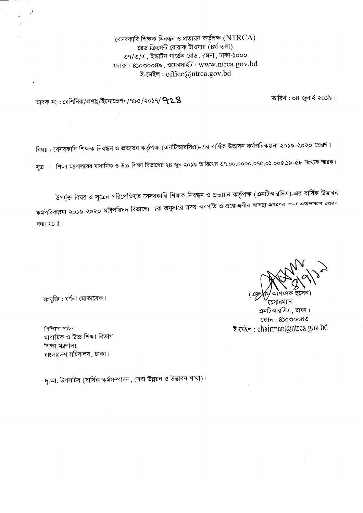বেসরকারি শিক্ষক নিবন্ধন ও প্রত্যয়ন কর্তৃপক্ষ  $(\operatorname{NTRCA})$ রেড ক্রিসেন্ট বোরাক টাওয়ার (৪র্থ তলা) ৩৭/৩/এ. ইষ্কাটন গার্ডেন রোড, রমনা, ঢাকা-১০০০ ফ্যাক্স:  $8$ ১০৩০০৪৯, ওয়েবসাইট: www.ntrca.gov.bd ই-মেইল: office@ntrca.gov.bd

তারিখ: ০৪ জলাই ২০১৯।

স্মারক নং : বেশিনিক/প্রশাঃ/ইনোভেশন/৭৯৫/২০১৭/  $\bf{928}$ 

বিষয় : বেসরকারি শিক্ষক নিবন্ধন ও প্রত্যয়ন কর্তৃপক্ষ (এনটিআরসিএ)-এর বার্ষিক উদ্ভাবন কর্মপরিকল্পনা ২০১৯-২০২০ প্রেরণ।

সূত্র : শিক্ষা মন্ত্রণালয়ের মাধ্যমিক ও উচ্চ শিক্ষা বিভাগের ২৪ জুন ২০১৯ তারিখের ৩৭.০০.০০০০.০৭৫.০১.০০৫.১৯-৫৮ সংখ্যক স্মারক।

উপর্যুক্ত বিষয় ও সূত্রের পরিপ্রেক্ষিতে বেসরকারি শিক্ষক নিবন্ধন ও প্রত্যয়ন কর্তৃপক্ষ (এনটিআরসিএ)-এর বার্ষিক উদ্ভাবন কর্মপরিকল্পনা ২০১৯-২০২০ মন্ত্রিপরিষদ বিভাগের ছক অনুসারে সদয় অবগতি ও প্রয়োজনীয় ব্যবস্থা গ্রহণের জন্য এতদসঙ্গে প্রেরণ করা হলো।

সংযুক্তি : বৰ্ণনা মোতাবেক।

শিশিয়র সচিব মাধামিক ও উচ্চ শিক্ষা বিভাগ শিক্ষা মন্ত্ৰণালয় বাংলাদেশ সচিবালয়, ঢাকা।

চেয়ারম্যান এনটিআরসিএ, ঢাকা। ফোন : 8১০৩০০৪৩ इ-त्मरन: chairman@ntrca.gov.bd

দৃ.আ. উপসচিব (বাৰ্ষিক কৰ্মসম্পাদন, সেবা উন্নয়ন ও উদ্ভাবন শাখা)।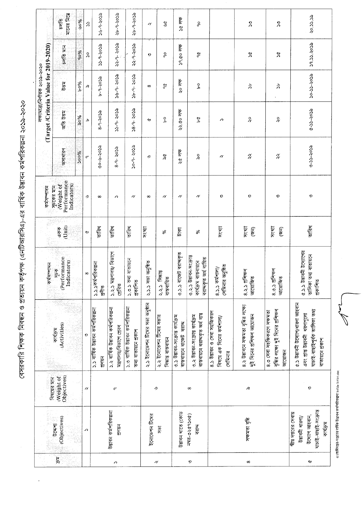বেসরকারি শিক্ষক নিবন্ধন ও প্রত্যয়ন কর্তৃপক্ষ (এনটিআরসিএ)-এর বার্ষিক উদ্ভাবন কর্মপরিকল্পনা ২০১৯-২০২০

|                                 |                                       | गान्नत्र निक्स<br>চলভি                                 | ಀೲ          | $\mathcal{S}$         | こうしょう                                     | ৎৎ০২-৮-৭২                                                        | १५-१-२०३                                                    | $\gamma$                       | ষ্ট                                            | 30.07                                                       | ορ                                                                                    |                                                                    | $\tilde{\mathcal{L}}$                                              | 2                                                                                             | ec.cc.os                                                                                                    |
|---------------------------------|---------------------------------------|--------------------------------------------------------|-------------|-----------------------|-------------------------------------------|------------------------------------------------------------------|-------------------------------------------------------------|--------------------------------|------------------------------------------------|-------------------------------------------------------------|---------------------------------------------------------------------------------------|--------------------------------------------------------------------|--------------------------------------------------------------------|-----------------------------------------------------------------------------------------------|-------------------------------------------------------------------------------------------------------------|
|                                 |                                       | চলতি মান                                               | 90%         | $\lambda$             | ecos 6 cc                                 | १२-१- २०३२                                                       | १२-१-२०३                                                    | $\boldsymbol{\Omega}$          | နှ                                             | $59.00$ লক্ষ                                                | $\frac{1}{2}$                                                                         |                                                                    | $\boldsymbol{\mathsf{x}}$                                          | $\approx$                                                                                     | 29.33.5022                                                                                                  |
| লক্ষ্মোত্ৰা/নিৰ্ণায়ক ২০১৯-২০২০ |                                       | हुनु                                                   | 960A        | œ                     | <b>ecos-6-4</b>                           | খন- ১৯২৯                                                         | १२०२ - १ - २०२                                              | $\infty$                       | $\frac{\partial}{\partial \rho}$               | २० लक                                                       | Ъ,                                                                                    |                                                                    | Ϋ́ζ                                                                | よ                                                                                             | <b>ecos-cc-oc</b>                                                                                           |
|                                 | (Target/Criteria Value for 2019-2020) | <b>Rep Be</b>                                          | %og         | Ъ                     | १-१-२०२                                   | १२-१- २०२                                                        | १९-१- २०२                                                   | ↩                              | Ъ                                              | २२.८० लक                                                    | Ъq                                                                                    | ↗                                                                  |                                                                    |                                                                                               | c.ss-cs-2020                                                                                                |
|                                 |                                       | जनाशावन                                                | <b>Soo%</b> | $\sigma$              | ぷりゲーターの                                   | १-१- २०५                                                         | so-9- २०५                                                   | رد                             | λg                                             | $36$ लाक                                                    | o<br>Sc                                                                               | $\gamma$                                                           | $\widetilde{\gamma}$                                               | $\overset{\gamma}{\gamma}$                                                                    | <b>ecos-cc-c</b>                                                                                            |
|                                 | কর্মসম্পাদন                           | Performance<br>Indicators)<br>(Weight of<br>স্চকের মান |             | رو۔                   | $\infty$                                  | ↗                                                                | $\gamma$                                                    | $\infty$                       | $\gamma$                                       | $\gamma$                                                    | $\pmb{\gamma}$                                                                        | $\boldsymbol{\Omega}$                                              | ୭                                                                  | $\boldsymbol{\Omega}$                                                                         | 9                                                                                                           |
|                                 |                                       | (Unit)<br>এক                                           |             | $\breve{c}$           | जस्रि                                     | जस्थि                                                            | তারিখ                                                       | সংখ্যা                         | %                                              | টাকা                                                        | ℅                                                                                     | সংখ্যা                                                             | সংখ্যা<br>$\widehat{\mathbb{F}}$                                   | সংখ্যা<br>E                                                                                   | जस्थि                                                                                                       |
|                                 | कर्मनल्लामन                           | $(Performance \\ Indicators)$<br>সূচক                  |             | ${}^{\infty}$         | कर्मभत्तिकल्ला<br><b>SIGN</b>             | ১.২.১ মন্ত্ৰণালয়/ বিভাগে<br>গ্ৰেমিত                             | তথ্য ৰাতায়নে<br>श्रकाशि<br>$\frac{1}{2}$                   | ২.১.১ সভা অনুষ্ঠিত             | সিদ্ধান্ত<br>বাস্তবায়িত<br>રે.રે.ડ            | বাজেট বরাদকৃত<br>$\frac{3}{2}$                              | উদ্ভাবন-সংক্ৰান্ত<br>বরাদ্দকৃত অর্থ ব্যয়িত<br>কাৰ্যক্ৰম বাস্তবায়নে<br>$\frac{2}{3}$ | সেমিনার অনুষ্ঠিত<br>$8.5.5$ $4\pi$                                 | প্ৰশিক্ষণ<br><b>D</b><br>B<br>Exited<br>8.3.5                      | প্ৰশিক্ষণ<br><b>O</b> Teller<br>8.0.3                                                         | উদ্ভাবনী উদ্যোগের<br>তালিকা তথ্য বাতায়নে<br>প্ৰকাশিত<br>$\frac{1}{2}$                                      |
|                                 |                                       | (Activities)<br>কার্যক্রম                              |             | $\boldsymbol{\Omega}$ | ১.১ বাৰ্ষিক উদ্ভাবন কৰ্মপরিকল্পনা<br>2020 | ১.২ বাৰ্ষিক উদ্ভাবন কৰ্মপত্নিকল্পনা<br>মন্ত্ৰণালয়/বিভাগে প্ৰেরণ | ১.৩ বাৰ্ষিক উদ্ভাবন কৰ্মপত্নিকল্পনা<br>তথ্য বাতায়নে প্ৰকাশ | ২.১ ইনোভেশন টিমের সভা অনুষ্ঠান | ২.২ ইনোভেশন টিমের সভার<br>সিদ্ধান্ত বাস্তবায়ন | ৩.১ উদ্ভাবন-সংক্ৰান্ত কাৰ্যক্ৰম<br>বাস্তবায়নে বাজেট বরাদ্দ | বাস্তবায়নে বরাদকৃত অর্থ ব্যয়<br>৩.২ উদ্ভাবন-সংক্ৰান্ত কাৰ্যক্ৰম                     | ৪.১ উদ্ভাবন ও সেবা সহজিকরণ<br>বিষয়ে এক দিনের কর্মশালা/<br>সেমিনার | ৪.২ উদ্ভাবনে সক্ষমতা বৃদ্ধির লক্ষ্যে<br>দুই দিনের প্রশিক্ষণ আয়োজন | বৃদ্ধির লক্ষ্যে দুই দিনের প্রশিক্ষণ<br>৪.৩ সেবা সহজিকরণে সক্ষমতা<br>जात्याकन                  | ৫.১ উদ্ভাবনী উদ্যোগ/ধারণা আহবান<br>যাচাই ৰাছাইপূৰ্বক ভালিকা ভথ্য<br>ave ere beid was ere<br>বাতায়নে প্ৰকাশ |
|                                 | বিষয়ের মান                           | Objectives)<br>Weight of                               |             | $\gamma$              |                                           | $\sigma$                                                         |                                                             |                                | رب                                             |                                                             | $\infty$                                                                              |                                                                    | Æ                                                                  |                                                                                               | $\boldsymbol{\Omega}$                                                                                       |
| (Objectives)<br>उत्फना          |                                       |                                                        | ↗           |                       | উদ্ভাবন কর্মপরিকল্পনা<br>2030             |                                                                  | ইনোভেশন টিমের                                               | $\frac{1}{2}$                  | উদ্ভাবন খাতে (কোড                              | 12046264704<br>বরাদ                                         |                                                                                       | সক্ষমতা বৃদ্ধি                                                     |                                                                    | যাচাই-বাছাই-সংক্ৰান্ত<br>মীয় দণ্ডরের সেবায়<br>উদ্যোগ আহবান,<br>উত্তাবনী ধারণা/<br>কাৰ্যক্ৰম |                                                                                                             |
|                                 |                                       | $\overline{\mathfrak{e}}$                              |             |                       |                                           | Λ                                                                |                                                             |                                | $\gamma$                                       |                                                             | 9                                                                                     |                                                                    | $^{\circ}$                                                         |                                                                                               | ↩                                                                                                           |

<sub>G</sub>্যআধিদপ্তর-দপ্তরের বার্ষিক উদ্ভাবন কর্মপরিকল্পনা ২০১৯-২০২০.doc

 $\mathbb{Z}$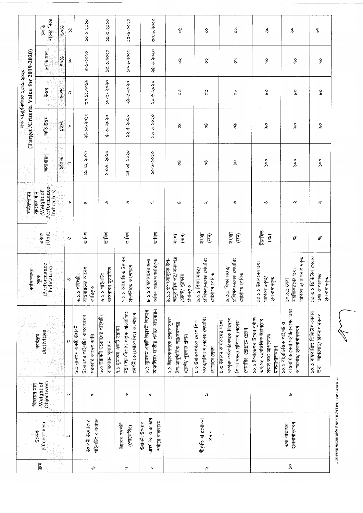|                                       | गानित निक्स<br>$rac{1}{2}$                            | ಀೲ       | $\mathcal{L}$         | २०-२-२०२०                                                    |                                                                                  | <b>Provincial</b>                                     | $30 - 5 - 50$                                                                                 | ००.७.२०२०                                                               | ĉ                                                                                      | ŝ                                                                                | స్థి                                                                                                                        | ۄ                                                                                             | ۄ                                                                                | وګ                                                                        |
|---------------------------------------|-------------------------------------------------------|----------|-----------------------|--------------------------------------------------------------|----------------------------------------------------------------------------------|-------------------------------------------------------|-----------------------------------------------------------------------------------------------|-------------------------------------------------------------------------|----------------------------------------------------------------------------------------|----------------------------------------------------------------------------------|-----------------------------------------------------------------------------------------------------------------------------|-----------------------------------------------------------------------------------------------|----------------------------------------------------------------------------------|---------------------------------------------------------------------------|
|                                       | চলভি মান                                              | 90%      | $\lambda$             | $0.5 - 5 - 20.50$                                            |                                                                                  | 36.0.5020                                             | २०-७-२०२०                                                                                     | $80 - 9 - 9 - 8$                                                        | $\widetilde{\circ}$                                                                    | $\widetilde{\circ}$                                                              | $\mathcal{C}^{\mathsf{d}}$                                                                                                  | ့ိ                                                                                            | ခု                                                                               | ဝှ                                                                        |
| লক্ষ্মাত্ৰা/নিৰ্ণায়ক ২০১৯-২০২০       | <b>Peg</b>                                            | १०%      | R                     | 201.00.00                                                    |                                                                                  | $30 - 0.5020$                                         | ०८०२-११-१९                                                                                    | 2016-9-02                                                               | $\frac{5}{6}$                                                                          | $\boldsymbol{\mathcal{S}}$                                                       | ъ                                                                                                                           | ە<br>ح                                                                                        | Ъ                                                                                | o q                                                                       |
| (Target/Criteria Value for 2019-2020) | $\mathcal{J}_{\rm{eff}}^{\rm{L}}$<br>মত উত্তম         | ಸಿಂಸ     | Ъ                     | ८८०२-२८-१८                                                   |                                                                                  | $6 - 5 - 5 = 0$                                       | २२-८-२०२०                                                                                     | ०,००,-१,०,०                                                             | $^{\circ}_{\circ}$                                                                     | 80                                                                               | δo                                                                                                                          | $\frac{0}{\alpha}$                                                                            | $\frac{6}{\alpha}$                                                               | $\delta$                                                                  |
|                                       | W)<br>অসাধারণ                                         | 300%     | σ                     | १९०२-२८-९८                                                   |                                                                                  | $5 - 0.5 - 50.50$                                     | 0505-00-05                                                                                    | ०८०४-१-०८                                                               | $^{\circ}$                                                                             | 80                                                                               | $\lambda$                                                                                                                   | oo                                                                                            | $\int_{0}^{0}$                                                                   | $\infty$                                                                  |
| कर्मसम्बद्धिक                         | Performance<br>Weight of<br>Indicators)<br>সূচকের মান |          | رب                    | $\infty$                                                     |                                                                                  | $\boldsymbol{\Omega}$                                 | و۔                                                                                            | σ                                                                       | ${}^{\circ}$                                                                           | $\gamma$                                                                         | 9                                                                                                                           | $\infty$                                                                                      | $\pmb{\gamma}$                                                                   | v                                                                         |
|                                       | (Unit)<br>একক                                         |          | ∾                     | তারিখ                                                        |                                                                                  | তারিখ                                                 | जस्थि                                                                                         | তারিখ                                                                   | সংখ্যা<br>$\sqrt{5}$                                                                   | সংখ্যা<br>$\widehat{\mathbb{F}}$                                                 | সংখ্য<br>$\widehat{\mathfrak{s}}$                                                                                           | निशंत्रिण<br>(%)                                                                              | న                                                                                | $\aleph$                                                                  |
|                                       | (Performance<br>Indicators)<br>कर्मनगरिन<br>केवरि     | ia<br>Sp | $\infty$              | বাস্তবায়নের আদেশ<br>৬.১.১ পাইলটিং                           | জারিকৃত                                                                          | पूनाशि<br>৬.২.১ পাইলটিং<br>বাস্তবায়ন                 | ৭.১.১ আয়োজিত উদ্ভাবন<br>প্ৰদৰ্শনীতে অংশগ্ৰহণ                                                 | ৮.১.১ বাস্তবায়নের জন্য<br>অফিস আদেশ জারিকৃত                            | আনুষ্ঠানিক পত্ৰ/ সনদপত্ৰ<br>৯.১.১ প্রশংসাসূচক উপ-<br>/ক্ৰেন্ট/ পুরস্কার<br>श्रमानकृष्  | প্ৰশিক্ষণ/নলেজ শেয়ারিং<br>৯.২.১ শিক্ষা সফর/<br>গ্ৰেমিত<br>catatra               | প্ৰশিক্ষণ/নলেজ শেয়ারিং<br>১.৩.১ শিক্ষা সফর্/<br>প্ৰেরিত<br>catatra                                                         | ১০.১.১ উদ্ভাবনের তথ্য<br>আপ্লোডকৃত/<br>হালনাগাদকৃত                                            | আপলোড/ হালনাগাদকৃত<br>সহজিকরণের তথ্য<br>२०.२.२ म्या                              | ১০.৩.১ ডিজিটাল-সেবার<br>তথ্য আপলোড/<br>হালনাগাদকৃত                        |
|                                       | (Activities)<br>কাৰ্যক্ৰম                             |          | $\boldsymbol{\Omega}$ | উদ্যোগের পাইলটিং বাস্তবায়নের<br><b>GENERAL ASTRONOMICAL</b> | সরকারি আদেশ জারি                                                                 | ৬.২ উত্তাবনী উদ্যোগের পাইলটিং<br>বাস্তবায়ন মূল্যায়ন | মন্ত্ৰণালয়/বিভাগ কৰ্তৃক আয়োজিত<br>প্ৰদৰ্শনীতে (শোকেসিং) অংশগ্ৰহণ<br>৭.১ নূনেতম একটি উদ্ভাবন | আঞ্চলিক/ জাতীয় পর্যায়ে বাস্তবায়ন<br>৮.১ ন্যুনতম একটি উদ্ভাবনী উদ্যোগ | ৯.১ উদ্ভাবকগণকে প্ৰশংসাসূচক<br>উপ-আনুষ্ঠানিক পত্ৰ/সনদপত্ৰ<br>/ক্রেন্ট/ পুরস্কার প্রদান | সফর/প্রশিক্ষণ /নলেজ শেয়ারিং<br>৯.২ উদ্ভাবকগণকে দেশে শিক্ষা<br>প্রোগ্রামে প্রেরণ | সম্পৃক্ত কৰ্মকৰ্তাগণকে বিদেশে<br>৯.৩ উদ্ভাবন কার্যক্রমের সঙ্গে<br>শিক্ষা সফর/ প্রশিক্ষণ নেলেজ<br>শেয়ারিং প্রোগ্রামে প্রেরণ | ১০.১ ইনোভেশন টিমের পূর্ণাঙ্গ<br>তথ্যসহ বছরভিত্তিক উদ্ভাবনের<br>সকল তথ্য আপলোড/<br>হালনাগাদকরণ | বাস্তবায়িত সেবা সহজিকরণের তথ্য<br>১০.২ বছরভিত্তিক পাইলট ও<br>আপলোড/ হালনাগাদকরণ | ১০.৩ ৰাস্তবায়িত ডিজিটাল-সেবার<br>जानत्नाडा शक्नाशानकत्र<br>$\frac{1}{5}$ |
|                                       | Objectives)<br>Weight of<br>विषत्त्रत्र गान           |          | $\gamma$              |                                                              | $\sigma$                                                                         |                                                       | و۔                                                                                            | ٣                                                                       |                                                                                        | R                                                                                |                                                                                                                             |                                                                                               | Д                                                                                |                                                                           |
|                                       | (Objectives)<br>ए एक ग                                |          | Ω                     |                                                              | পাইলটিং বাস্তবায়ন<br><b>BUILDING</b>                                            |                                                       | উদ্ভাবন প্ৰদৰ্শনী<br>(مطلاحه بعادة)                                                           | মাজান্ধ ও জাতীয়<br>পর্যায়ে বাস্তবায়ন<br><b>PERITOR</b>               |                                                                                        | স্বীকৃতি বা প্রণোদনা<br>$2\sqrt{15}$                                             |                                                                                                                             |                                                                                               | হালনাগাদকরণ<br>তথ্য ৰাতায়ন                                                      |                                                                           |
|                                       | ্রি<br>و۔<br>Ъ<br>$\sigma$                            |          |                       |                                                              | $\mathcal{L}% _{0}\left( t\right) \sim\mathcal{L}_{\mathrm{C}}\left( t\right) ,$ |                                                       |                                                                                               | λ                                                                       |                                                                                        |                                                                                  |                                                                                                                             |                                                                                               |                                                                                  |                                                                           |

ও:\অধিদপ্তর-দপ্তরের বার্ষিক উদ্ভাবন কর্মপরিকল্পনা ২০১৯-২০২০ doc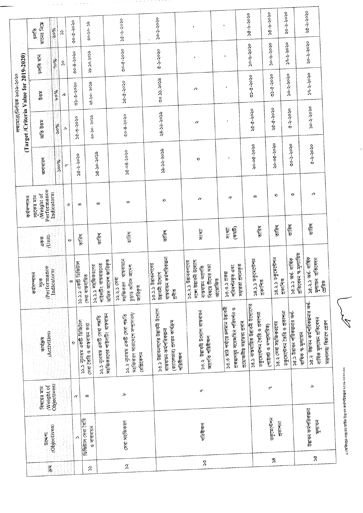|                            |                        |                           |                                                                                                       |                                                                                     |                                             |                           |                     |                                       | লক্ষ্যমাত্ৰা/নিৰ্ণায়ক ২০১৯-২০২০                                     |                       |                     |
|----------------------------|------------------------|---------------------------|-------------------------------------------------------------------------------------------------------|-------------------------------------------------------------------------------------|---------------------------------------------|---------------------------|---------------------|---------------------------------------|----------------------------------------------------------------------|-----------------------|---------------------|
|                            |                        |                           |                                                                                                       |                                                                                     |                                             | कर्मभागन                  |                     | (Target/Criteria Value for 2019-2020) |                                                                      |                       |                     |
|                            |                        |                           |                                                                                                       | कर्मशालन                                                                            |                                             | সূচকের মান                |                     |                                       | 500                                                                  | চলতি মান              | $\frac{1}{2}$       |
| $\overline{\mathfrak{g}}$  | एरम्बन्न               | (Weight of<br>ৰিষয়ের মান | (Activities)<br>কাৰ্যক্ৰম                                                                             | (Performance<br>केश                                                                 | (Unit)<br>একক                               | Performance<br>(Weight of | जनाधारन             | <b>Rep Die</b>                        |                                                                      |                       | মানের নিমে          |
|                            | Objectives)            | Objectives)               |                                                                                                       | Indicators)                                                                         |                                             | Indicators)               |                     | 960%                                  | 9604                                                                 | 90%                   | ৬০%                 |
|                            |                        |                           |                                                                                                       |                                                                                     |                                             |                           | <b>Poos</b>         | Ъ                                     | $\mathcal{L}% _{0}\left( t\right) \in\mathcal{L}_{0}\left( t\right)$ | λ                     | $\hat{\mathcal{E}}$ |
|                            |                        |                           | ୭                                                                                                     | $\infty$                                                                            | ಆ                                           | رب                        | $\sigma$            |                                       |                                                                      |                       | $00 - 0 - 0 - 00$   |
|                            | ডিজিটাল সেবা তৈরি<br>↗ | $\gamma$                  | ১১.১ নূনেতম একটি ডিজিটাল                                                                              | <b>12.2.5 একটি ডিজিটাল</b><br>সেবা বাস্তবায়িত                                      | जस्थि                                       | $\infty$                  | ०८०८-१-१९           | $20 - 5 - 5 - 20$                     | 0,000,000                                                            | 0202-8-00             |                     |
| ς                          | ও বাস্তবায়ন           | $\infty$                  | ১২.১ ন্যূনতম একটি সেবা পদ্ধতি<br>সেবা তৈরি ও বাস্তবায়ন করা                                           | পাইলটিং বাস্তবায়নের<br>১২.১.১ সহজিকরণের                                            | তারিখ                                       | $\infty$                  | ccoc-oc-DC          | <b>ecos-oc-os</b>                     | ecos-oc-82                                                           | <b>sco-&gt;o-&gt;</b> | $85 - 50 - 50$      |
|                            |                        |                           | সহজিকরণের পাইলটিং বাস্তবায়ন                                                                          | অফিস আদেশ জারিকৃত                                                                   |                                             |                           |                     |                                       |                                                                      |                       |                     |
| $\pmb{\mathcal{X}}$        | সেবা সহজিকরণ           | Ъ                         | সহজিকরণ সারাদেশে সম্প্রসারণ/<br>১২.২ নূনতম একটি সেবা পদ্ধতি<br>বেগ্লিকেশন                             | वास्त्रवाश्टन<br>চুড়ান্ত অফিস আদেশ<br>১২.২.১ সেরা<br>সহজিকরণ<br>জারিকৃত            | जस्थि                                       | $^{\infty}$               | 0202-80-30          | 00-8-3020                             | ०८०८-१-१९                                                            | $00 - 0 - 0 - 00$     | 0202-9-2020         |
|                            |                        |                           |                                                                                                       |                                                                                     |                                             |                           |                     |                                       |                                                                      |                       |                     |
|                            |                        |                           | <b>SUPPLIERING CONTROLLED AND ASSESS</b><br>(ক্যালেডার) প্রণয়ন কার্যক্রম<br>বাস্তবায়ন কর্মপরিকল্পনা | বাস্তবায়ন কর্মপরিকল্পনা<br>४७.२.२ छेष्ठावनगटनह<br><b>Burn Bruist</b><br>eigh       | তাবিখ                                       | 9                         | <b>ecos-sc-ec</b>   | १८.२८-२०२०                            | 00.33.505                                                            | $0 > 0 > -7.9$        | <b>DEDE-S-050</b>   |
|                            |                        |                           | नविवेषण                                                                                               |                                                                                     |                                             |                           |                     |                                       |                                                                      |                       |                     |
| $\boldsymbol{\mathcal{S}}$ | পরিবীক্ষণ              | $\sigma$                  | ১৩.২ উদ্ভাবনী উদ্যোগ বাস্তবায়ন<br>অগ্ৰণতি পরিবীক্ষণ                                                  | সজো উদ্ভাবনী উদ্যোগ<br>১৩.২.১ উদ্ভাবকগণের<br>বিষয়ে টিমের সভা<br>বাস্তবায়ন অগ্ৰগতি | সংখ্যা                                      | N                         | ୭                   | $\gamma$                              | Λ                                                                    |                       |                     |
|                            |                        |                           |                                                                                                       | जात्यालि                                                                            |                                             |                           |                     |                                       |                                                                      |                       |                     |
|                            |                        |                           | ১৩.৩ মাঠ পর্যায়ে চলমান উদ্ভাবনী<br>প্রকল্পসমূহ সরেজমিন পরিদর্শন ও                                    | প্ৰদানকৃত<br>পরিদর্শনকৃত এবং<br>0.0.0228<br>সহায়তা                                 | $(\widehat{\Phi},\widehat{\Phi})$<br>সংখ্যা | $\gamma$                  |                     | ٠                                     |                                                                      |                       |                     |
|                            |                        |                           | প্রয়োজনীয় সহায়তা প্রদান                                                                            |                                                                                     |                                             |                           |                     |                                       |                                                                      | <b>20-9-9-02</b>      | ०२०२-१-१८           |
|                            |                        |                           | ১৪.১ ৰাস্তবায়িত উদ্ভাবনী উদ্যোগেয়<br>ডকুমেন্টেশন তৈরি ও প্রকাশনা                                    | ১৪.১.১ ডকুমেন্টেশন<br>প্ৰকাশিত                                                      | जदिन्                                       | $\infty$                  | ०-०७-२०२०           | ०८०८-१-१९                             | $\alpha$ ce - 0-50                                                   |                       |                     |
|                            |                        | $\sigma$                  | (পাইলট ও সম্প্ৰসায়িত)                                                                                |                                                                                     |                                             |                           |                     |                                       |                                                                      | <b>20-9-9-050</b>     | ० <b>८०८-१-</b> १   |
| $\boldsymbol{\mathsf{S}}$  | ডকুমেন্টেশন<br>24141   |                           | ১৪.২ সেবা সহজিকরণের                                                                                   | ACTIC DAY<br>38.3.3                                                                 | जस्थि                                       | $\boldsymbol{\Omega}$     | ० <b>८०६-१०</b> -०१ | ०८०८-१-१९                             | $0505 - 0 - 00$                                                      |                       |                     |
|                            |                        |                           | ডকুমেন্টেশন তৈরি ও প্রকাশনা                                                                           | প্ৰকাশিত                                                                            |                                             |                           |                     |                                       | २०-२-२०२०                                                            | 29-2-2020             | २०-२-२०२०           |
|                            |                        |                           | ১৫.১ উদ্ভাবন পরিকল্পনার অর্ধ-                                                                         | ১৫.১.১ অর্ধ- বার্ষিক                                                                | जस्थि                                       | $\boldsymbol{\Omega}$     | ००-८-८-०२           | $0.505 - 0.9$                         |                                                                      |                       |                     |
|                            |                        |                           | বাষিক স্ব-মূল্যায়ন                                                                                   | প্ৰতিবেদন স্ব-মূল্যায়িত                                                            |                                             |                           |                     |                                       |                                                                      |                       |                     |
|                            | উদ্ভাবন কর্মপরিকল্পনা  | ъ                         | ১৫.২ উদ্ভাবন কর্মপরিকল্পনার অর্ধ                                                                      | ১৫.২.১ অর্ধ- বার্ষিক                                                                | তারিখ                                       | ↗                         | $0.505 - 0.05$      | २०-२-२०२०                             | 29-2-2020                                                            | २०-२ २०२०             | $50 - 50$           |
|                            | पूलाशन<br>$\lesssim$   |                           | বাৰ্ষিক মূল্যায়ন প্ৰতিবেদন                                                                           | সুল্যায়ন প্ৰতিবেদন                                                                 |                                             |                           |                     |                                       |                                                                      |                       |                     |
|                            |                        |                           | মন্ত্ৰণালয়/ বিভাগে প্ৰেরণ                                                                            | প্ৰেরিত                                                                             |                                             |                           |                     |                                       |                                                                      |                       |                     |

 $\hat{\mathcal{L}}(\hat{\mathcal{L}})$  is a set

 $\alpha = \alpha + \beta$ 

ে\অধিদপ্তর-দপ্তরের বার্ষিক উদ্ভাবন কর্মপরিকল্পনা ২০১৯-২০২০.doc<br>-

LA